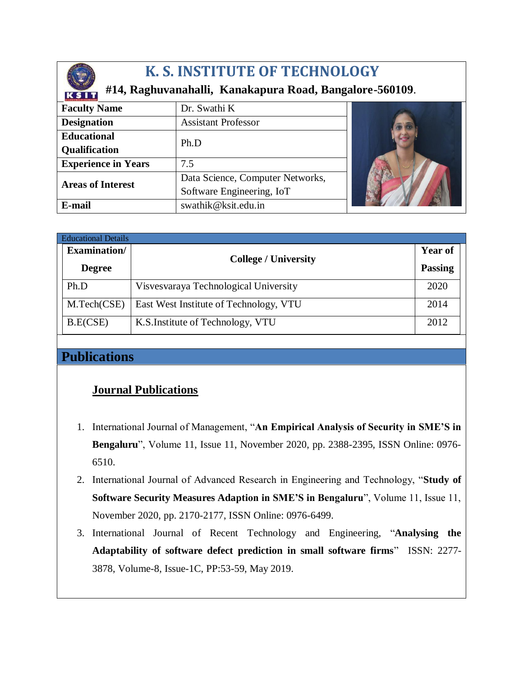

# **K. S. INSTITUTE OF TECHNOLOGY**

### **#14, Raghuvanahalli, Kanakapura Road, Bangalore-560109**.

| a 1 iaithiatt as steanglach |                                  |  |
|-----------------------------|----------------------------------|--|
| <b>Faculty Name</b>         | Dr. Swathi K                     |  |
| <b>Designation</b>          | <b>Assistant Professor</b>       |  |
| <b>Educational</b>          | Ph.D                             |  |
| <b>Qualification</b>        |                                  |  |
| <b>Experience in Years</b>  | 7.5                              |  |
| <b>Areas of Interest</b>    | Data Science, Computer Networks, |  |
|                             | Software Engineering, IoT        |  |
| E-mail                      | swathik@ksit.edu.in              |  |

| <b>Educational Details</b> |                     |                                        |                |  |  |
|----------------------------|---------------------|----------------------------------------|----------------|--|--|
|                            | <b>Examination/</b> | <b>College / University</b>            | <b>Year of</b> |  |  |
|                            | <b>Degree</b>       |                                        | <b>Passing</b> |  |  |
|                            | Ph.D                | Visvesvaraya Technological University  | 2020           |  |  |
|                            | M.Tech(CSE)         | East West Institute of Technology, VTU | 2014           |  |  |
|                            | B.E(CSE)            | K.S. Institute of Technology, VTU      | 2012           |  |  |

## **Publications**

## **Journal Publications**

- 1. International Journal of Management, "**An Empirical Analysis of Security in SME'S in Bengaluru**", Volume 11, Issue 11, November 2020, pp. 2388-2395, ISSN Online: 0976- 6510.
- 2. International Journal of Advanced Research in Engineering and Technology, "**Study of Software Security Measures Adaption in SME'S in Bengaluru**", Volume 11, Issue 11, November 2020, pp. 2170-2177, ISSN Online: 0976-6499.
- 3. International Journal of Recent Technology and Engineering, "**Analysing the Adaptability of software defect prediction in small software firms**" ISSN: 2277- 3878, Volume-8, Issue-1C, PP:53-59, May 2019.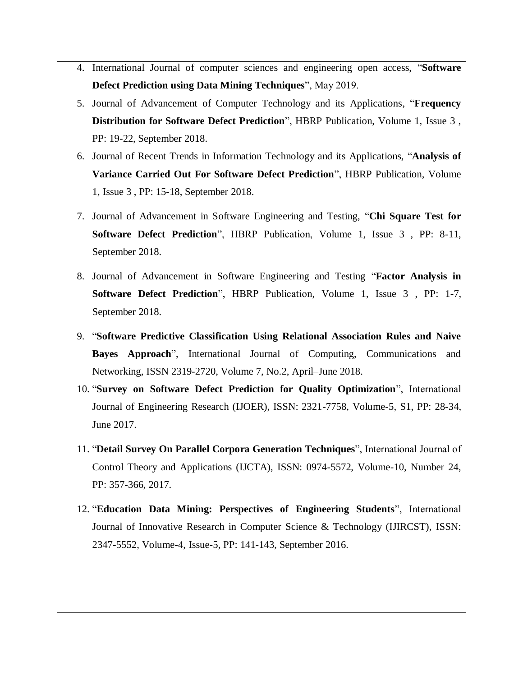- 4. International Journal of computer sciences and engineering open access, "**Software Defect Prediction using Data Mining Techniques**", May 2019.
- 5. Journal of Advancement of Computer Technology and its Applications, "**Frequency Distribution for Software Defect Prediction**", HBRP Publication, Volume 1, Issue 3 , PP: 19-22, September 2018.
- 6. Journal of Recent Trends in Information Technology and its Applications, "**Analysis of Variance Carried Out For Software Defect Prediction**", HBRP Publication, Volume 1, Issue 3 , PP: 15-18, September 2018.
- 7. Journal of Advancement in Software Engineering and Testing, "**Chi Square Test for Software Defect Prediction**", HBRP Publication, Volume 1, Issue 3 , PP: 8-11, September 2018.
- 8. Journal of Advancement in Software Engineering and Testing "**Factor Analysis in Software Defect Prediction**", HBRP Publication, Volume 1, Issue 3 , PP: 1-7, September 2018.
- 9. "**Software Predictive Classification Using Relational Association Rules and Naive Bayes Approach**", International Journal of Computing, Communications and Networking, ISSN 2319-2720, Volume 7, No.2, April–June 2018.
- 10. "**Survey on Software Defect Prediction for Quality Optimization**", International Journal of Engineering Research (IJOER), ISSN: 2321-7758, Volume-5, S1, PP: 28-34, June 2017.
- 11. "**Detail Survey On Parallel Corpora Generation Techniques**", International Journal of Control Theory and Applications (IJCTA), ISSN: 0974-5572, Volume-10, Number 24, PP: 357-366, 2017.
- 12. "**Education Data Mining: Perspectives of Engineering Students**", International Journal of Innovative Research in Computer Science & Technology (IJIRCST), ISSN: 2347-5552, Volume-4, Issue-5, PP: 141-143, September 2016.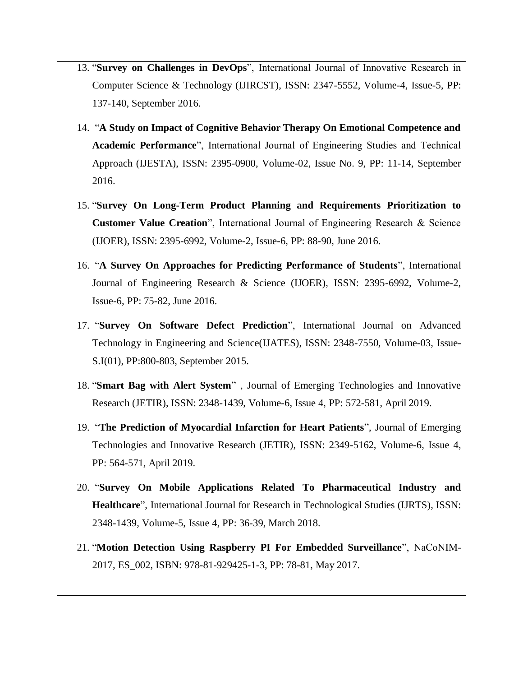- 13. "**Survey on Challenges in DevOps**", International Journal of Innovative Research in Computer Science & Technology (IJIRCST), ISSN: 2347-5552, Volume-4, Issue-5, PP: 137-140, September 2016.
- 14. "**A Study on Impact of Cognitive Behavior Therapy On Emotional Competence and Academic Performance**", International Journal of Engineering Studies and Technical Approach (IJESTA), ISSN: 2395-0900, Volume-02, Issue No. 9, PP: 11-14, September 2016.
- 15. "**Survey On Long-Term Product Planning and Requirements Prioritization to Customer Value Creation**", International Journal of Engineering Research & Science (IJOER), ISSN: 2395-6992, Volume-2, Issue-6, PP: 88-90, June 2016.
- 16. "**A Survey On Approaches for Predicting Performance of Students**", International Journal of Engineering Research & Science (IJOER), ISSN: 2395-6992, Volume-2, Issue-6, PP: 75-82, June 2016.
- 17. "**Survey On Software Defect Prediction**", International Journal on Advanced Technology in Engineering and Science(IJATES), ISSN: 2348-7550, Volume-03, Issue-S.I(01), PP:800-803, September 2015.
- 18. "**Smart Bag with Alert System**" , Journal of Emerging Technologies and Innovative Research (JETIR), ISSN: 2348-1439, Volume-6, Issue 4, PP: 572-581, April 2019.
- 19. "**The Prediction of Myocardial Infarction for Heart Patients**", Journal of Emerging Technologies and Innovative Research (JETIR), ISSN: 2349-5162, Volume-6, Issue 4, PP: 564-571, April 2019.
- 20. "**Survey On Mobile Applications Related To Pharmaceutical Industry and Healthcare**", International Journal for Research in Technological Studies (IJRTS), ISSN: 2348-1439, Volume-5, Issue 4, PP: 36-39, March 2018.
- 21. "**Motion Detection Using Raspberry PI For Embedded Surveillance**", NaCoNIM-2017, ES\_002, ISBN: 978-81-929425-1-3, PP: 78-81, May 2017.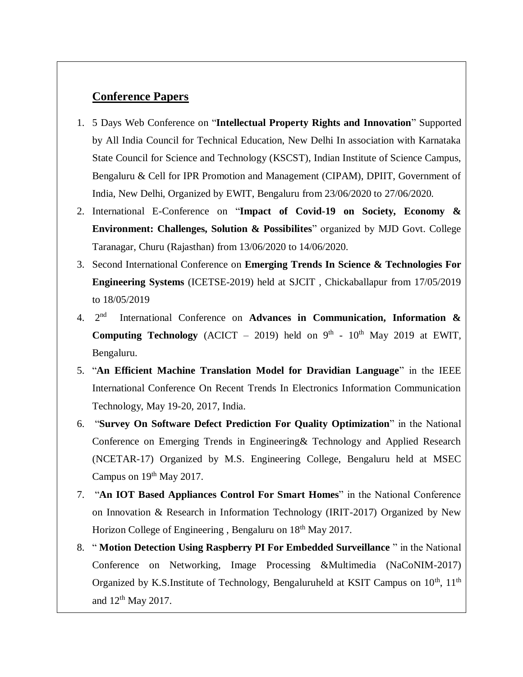#### **Conference Papers**

- 1. 5 Days Web Conference on "**Intellectual Property Rights and Innovation**" Supported by All India Council for Technical Education, New Delhi In association with Karnataka State Council for Science and Technology (KSCST), Indian Institute of Science Campus, Bengaluru & Cell for IPR Promotion and Management (CIPAM), DPIIT, Government of India, New Delhi, Organized by EWIT, Bengaluru from 23/06/2020 to 27/06/2020.
- 2. International E-Conference on "**Impact of Covid-19 on Society, Economy & Environment: Challenges, Solution & Possibilites**" organized by MJD Govt. College Taranagar, Churu (Rajasthan) from 13/06/2020 to 14/06/2020.
- 3. Second International Conference on **Emerging Trends In Science & Technologies For Engineering Systems** (ICETSE-2019) held at SJCIT , Chickaballapur from 17/05/2019 to 18/05/2019
- 4. 2 nd International Conference on **Advances in Communication, Information & Computing Technology** (ACICT – 2019) held on  $9<sup>th</sup>$  -  $10<sup>th</sup>$  May 2019 at EWIT, Bengaluru.
- 5. "**An Efficient Machine Translation Model for Dravidian Language**" in the IEEE International Conference On Recent Trends In Electronics Information Communication Technology, May 19-20, 2017, India.
- 6. "**Survey On Software Defect Prediction For Quality Optimization**" in the National Conference on Emerging Trends in Engineering& Technology and Applied Research (NCETAR-17) Organized by M.S. Engineering College, Bengaluru held at MSEC Campus on  $19<sup>th</sup>$  May 2017.
- 7. "**An IOT Based Appliances Control For Smart Homes**" in the National Conference on Innovation & Research in Information Technology (IRIT-2017) Organized by New Horizon College of Engineering, Bengaluru on 18<sup>th</sup> May 2017.
- 8. " **Motion Detection Using Raspberry PI For Embedded Surveillance** " in the National Conference on Networking, Image Processing &Multimedia (NaCoNIM-2017) Organized by K.S.Institute of Technology, Bengaluruheld at KSIT Campus on  $10^{th}$ ,  $11^{th}$ and  $12<sup>th</sup>$  May 2017.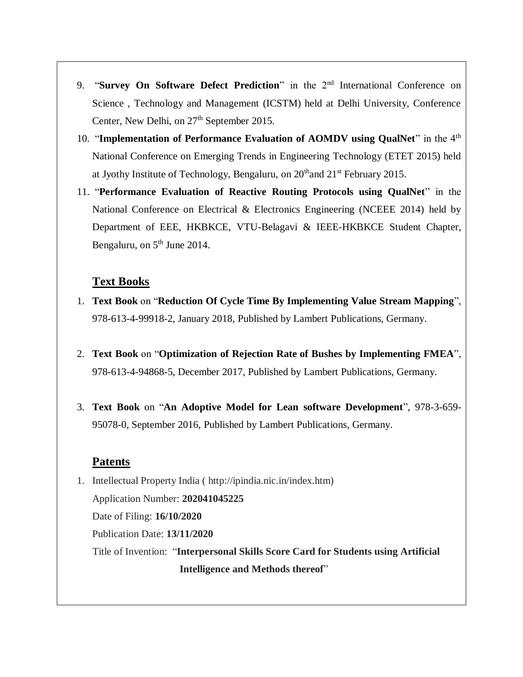- 9. "**Survey On Software Defect Prediction**" in the 2nd International Conference on Science , Technology and Management (ICSTM) held at Delhi University, Conference Center, New Delhi, on  $27<sup>th</sup>$  September 2015.
- 10. "**Implementation of Performance Evaluation of AOMDV using QualNet**" in the 4th National Conference on Emerging Trends in Engineering Technology (ETET 2015) held at Jyothy Institute of Technology, Bengaluru, on  $20<sup>th</sup>$  and  $21<sup>st</sup>$  February 2015.
- 11. "**Performance Evaluation of Reactive Routing Protocols using QualNet**" in the National Conference on Electrical & Electronics Engineering (NCEEE 2014) held by Department of EEE, HKBKCE, VTU-Belagavi & IEEE-HKBKCE Student Chapter, Bengaluru, on  $5<sup>th</sup>$  June 2014.

#### **Text Books**

- 1. **Text Book** on "**Reduction Of Cycle Time By Implementing Value Stream Mapping**", 978-613-4-99918-2, January 2018, Published by Lambert Publications, Germany.
- 2. **Text Book** on "**Optimization of Rejection Rate of Bushes by Implementing FMEA**", 978-613-4-94868-5, December 2017, Published by Lambert Publications, Germany.
- 3. **Text Book** on "**An Adoptive Model for Lean software Development**", 978-3-659- 95078-0, September 2016, Published by Lambert Publications, Germany.

#### **Patents**

1. Intellectual Property India ( http://ipindia.nic.in/index.htm) Application Number: **202041045225** Date of Filing: **16/10/2020** Publication Date: **13/11/2020** Title of Invention: "**Interpersonal Skills Score Card for Students using Artificial Intelligence and Methods thereof**"